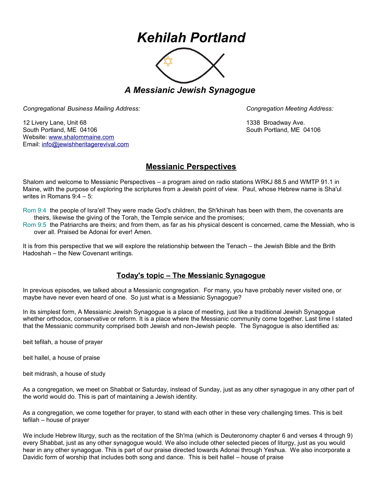## *Kehilah Portland*



*A Messianic Jewish Synagogue* 

*Congregational Business Mailing Address: Congregation Meeting Address:*

12 Livery Lane, Unit 68 1338 Broadway Ave. South Portland, ME 04106 South Portland, ME 04106 Website: [www.shalommaine.com](http://www.shalommaine.com/) Email: [info@jewishheritagerevival.com](mailto:info@jewishheritagerevival.com) 

## **Messianic Perspectives**

Shalom and welcome to Messianic Perspectives – a program aired on radio stations WRKJ 88.5 and WMTP 91.1 in Maine, with the purpose of exploring the scriptures from a Jewish point of view. Paul, whose Hebrew name is Sha'ul writes in Romans 9:4 – 5:

Rom 9:4 the people of Isra'el! They were made God's children, the Sh'khinah has been with them, the covenants are theirs, likewise the giving of the Torah, the Temple service and the promises;

Rom 9:5 the Patriarchs are theirs; and from them, as far as his physical descent is concerned, came the Messiah, who is over all. Praised be Adonai for ever! Amen.

It is from this perspective that we will explore the relationship between the Tenach – the Jewish Bible and the Brith Hadoshah – the New Covenant writings.

## **Today's topic – The Messianic Synagogue**

In previous episodes, we talked about a Messianic congregation. For many, you have probably never visited one, or maybe have never even heard of one. So just what is a Messianic Synagogue?

In its simplest form, A Messianic Jewish Synagogue is a place of meeting, just like a traditional Jewish Synagogue whether orthodox, conservative or reform. It is a place where the Messianic community come together. Last time I stated that the Messianic community comprised both Jewish and non-Jewish people. The Synagogue is also identified as:

beit tefilah, a house of prayer

beit hallel, a house of praise

beit midrash, a house of study

As a congregation, we meet on Shabbat or Saturday, instead of Sunday, just as any other synagogue in any other part of the world would do. This is part of maintaining a Jewish identity.

As a congregation, we come together for prayer, to stand with each other in these very challenging times. This is beit tefilah – house of prayer

We include Hebrew liturgy, such as the recitation of the Sh'ma (which is Deuteronomy chapter 6 and verses 4 through 9) every Shabbat, just as any other synagogue would. We also include other selected pieces of liturgy, just as you would hear in any other synagogue. This is part of our praise directed towards Adonai through Yeshua. We also incorporate a Davidic form of worship that includes both song and dance. This is beit hallel – house of praise